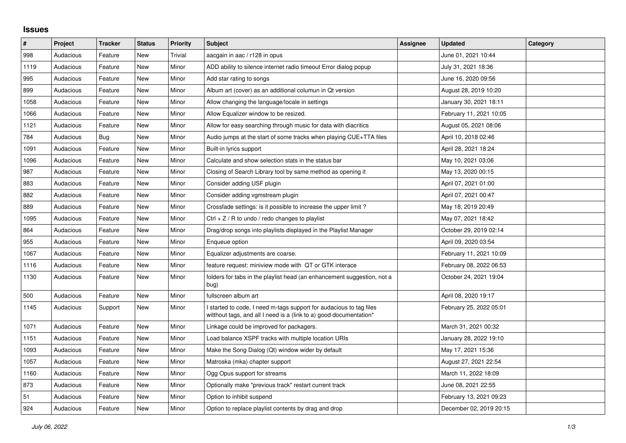## **Issues**

| #    | Project   | <b>Tracker</b> | <b>Status</b> | <b>Priority</b> | <b>Subject</b>                                                                                                                            | Assignee | <b>Updated</b>          | Category |
|------|-----------|----------------|---------------|-----------------|-------------------------------------------------------------------------------------------------------------------------------------------|----------|-------------------------|----------|
| 998  | Audacious | Feature        | <b>New</b>    | Trivial         | aacgain in aac / r128 in opus                                                                                                             |          | June 01, 2021 10:44     |          |
| 1119 | Audacious | Feature        | <b>New</b>    | Minor           | ADD ability to silence internet radio timeout Error dialog popup                                                                          |          | July 31, 2021 18:36     |          |
| 995  | Audacious | Feature        | New           | Minor           | Add star rating to songs                                                                                                                  |          | June 16, 2020 09:56     |          |
| 899  | Audacious | Feature        | <b>New</b>    | Minor           | Album art (cover) as an additional columun in Qt version                                                                                  |          | August 28, 2019 10:20   |          |
| 1058 | Audacious | Feature        | New           | Minor           | Allow changing the language/locale in settings                                                                                            |          | January 30, 2021 18:11  |          |
| 1066 | Audacious | Feature        | <b>New</b>    | Minor           | Allow Equalizer window to be resized.                                                                                                     |          | February 11, 2021 10:05 |          |
| 1121 | Audacious | Feature        | New           | Minor           | Allow for easy searching through music for data with diacritics                                                                           |          | August 05, 2021 08:06   |          |
| 784  | Audacious | Bug            | <b>New</b>    | Minor           | Audio jumps at the start of some tracks when playing CUE+TTA files                                                                        |          | April 10, 2018 02:46    |          |
| 1091 | Audacious | Feature        | New           | Minor           | Built-in lyrics support                                                                                                                   |          | April 28, 2021 18:24    |          |
| 1096 | Audacious | Feature        | <b>New</b>    | Minor           | Calculate and show selection stats in the status bar                                                                                      |          | May 10, 2021 03:06      |          |
| 987  | Audacious | Feature        | <b>New</b>    | Minor           | Closing of Search Library tool by same method as opening it                                                                               |          | May 13, 2020 00:15      |          |
| 883  | Audacious | Feature        | <b>New</b>    | Minor           | Consider adding USF plugin                                                                                                                |          | April 07, 2021 01:00    |          |
| 882  | Audacious | Feature        | <b>New</b>    | Minor           | Consider adding vgmstream plugin                                                                                                          |          | April 07, 2021 00:47    |          |
| 889  | Audacious | Feature        | <b>New</b>    | Minor           | Crossfade settings: is it possible to increase the upper limit?                                                                           |          | May 18, 2019 20:49      |          |
| 1095 | Audacious | Feature        | New           | Minor           | $Ctrl + Z / R$ to undo / redo changes to playlist                                                                                         |          | May 07, 2021 18:42      |          |
| 864  | Audacious | Feature        | <b>New</b>    | Minor           | Drag/drop songs into playlists displayed in the Playlist Manager                                                                          |          | October 29, 2019 02:14  |          |
| 955  | Audacious | Feature        | <b>New</b>    | Minor           | Enqueue option                                                                                                                            |          | April 09, 2020 03:54    |          |
| 1067 | Audacious | Feature        | New           | Minor           | Equalizer adjustments are coarse.                                                                                                         |          | February 11, 2021 10:09 |          |
| 1116 | Audacious | Feature        | New           | Minor           | feature request: miniview mode with QT or GTK interace                                                                                    |          | February 08, 2022 06:53 |          |
| 1130 | Audacious | Feature        | <b>New</b>    | Minor           | folders for tabs in the playlist head (an enhancement suggestion, not a<br>bug)                                                           |          | October 24, 2021 19:04  |          |
| 500  | Audacious | Feature        | <b>New</b>    | Minor           | fullscreen album art                                                                                                                      |          | April 08, 2020 19:17    |          |
| 1145 | Audacious | Support        | New           | Minor           | I started to code, I need m-tags support for audacious to tag files<br>witthout tags, and all I need is a (link to a) good documentation* |          | February 25, 2022 05:01 |          |
| 1071 | Audacious | Feature        | <b>New</b>    | Minor           | Linkage could be improved for packagers.                                                                                                  |          | March 31, 2021 00:32    |          |
| 1151 | Audacious | Feature        | New           | Minor           | Load balance XSPF tracks with multiple location URIs                                                                                      |          | January 28, 2022 19:10  |          |
| 1093 | Audacious | Feature        | <b>New</b>    | Minor           | Make the Song Dialog (Qt) window wider by default                                                                                         |          | May 17, 2021 15:36      |          |
| 1057 | Audacious | Feature        | <b>New</b>    | Minor           | Matroska (mka) chapter support                                                                                                            |          | August 27, 2021 22:54   |          |
| 1160 | Audacious | Feature        | <b>New</b>    | Minor           | Ogg Opus support for streams                                                                                                              |          | March 11, 2022 18:09    |          |
| 873  | Audacious | Feature        | New           | Minor           | Optionally make "previous track" restart current track                                                                                    |          | June 08, 2021 22:55     |          |
| 51   | Audacious | Feature        | <b>New</b>    | Minor           | Option to inhibit suspend                                                                                                                 |          | February 13, 2021 09:23 |          |
| 924  | Audacious | Feature        | <b>New</b>    | Minor           | Option to replace playlist contents by drag and drop                                                                                      |          | December 02, 2019 20:15 |          |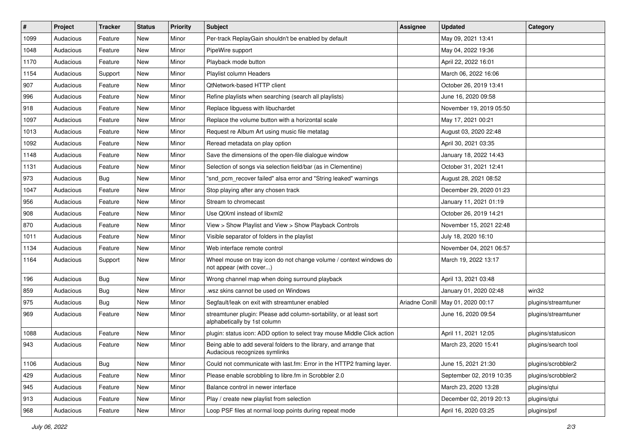| $\#$ | Project   | <b>Tracker</b> | <b>Status</b> | <b>Priority</b> | Subject                                                                                             | <b>Assignee</b> | <b>Updated</b>           | Category            |
|------|-----------|----------------|---------------|-----------------|-----------------------------------------------------------------------------------------------------|-----------------|--------------------------|---------------------|
| 1099 | Audacious | Feature        | New           | Minor           | Per-track ReplayGain shouldn't be enabled by default                                                |                 | May 09, 2021 13:41       |                     |
| 1048 | Audacious | Feature        | New           | Minor           | PipeWire support                                                                                    |                 | May 04, 2022 19:36       |                     |
| 1170 | Audacious | Feature        | New           | Minor           | Playback mode button                                                                                |                 | April 22, 2022 16:01     |                     |
| 1154 | Audacious | Support        | New           | Minor           | Playlist column Headers                                                                             |                 | March 06, 2022 16:06     |                     |
| 907  | Audacious | Feature        | New           | Minor           | <b>QtNetwork-based HTTP client</b>                                                                  |                 | October 26, 2019 13:41   |                     |
| 996  | Audacious | Feature        | New           | Minor           | Refine playlists when searching (search all playlists)                                              |                 | June 16, 2020 09:58      |                     |
| 918  | Audacious | Feature        | New           | Minor           | Replace libguess with libuchardet                                                                   |                 | November 19, 2019 05:50  |                     |
| 1097 | Audacious | Feature        | New           | Minor           | Replace the volume button with a horizontal scale                                                   |                 | May 17, 2021 00:21       |                     |
| 1013 | Audacious | Feature        | New           | Minor           | Request re Album Art using music file metatag                                                       |                 | August 03, 2020 22:48    |                     |
| 1092 | Audacious | Feature        | New           | Minor           | Reread metadata on play option                                                                      |                 | April 30, 2021 03:35     |                     |
| 1148 | Audacious | Feature        | New           | Minor           | Save the dimensions of the open-file dialogue window                                                |                 | January 18, 2022 14:43   |                     |
| 1131 | Audacious | Feature        | New           | Minor           | Selection of songs via selection field/bar (as in Clementine)                                       |                 | October 31, 2021 12:41   |                     |
| 973  | Audacious | Bug            | New           | Minor           | "snd_pcm_recover failed" alsa error and "String leaked" warnings                                    |                 | August 28, 2021 08:52    |                     |
| 1047 | Audacious | Feature        | New           | Minor           | Stop playing after any chosen track                                                                 |                 | December 29, 2020 01:23  |                     |
| 956  | Audacious | Feature        | New           | Minor           | Stream to chromecast                                                                                |                 | January 11, 2021 01:19   |                     |
| 908  | Audacious | Feature        | New           | Minor           | Use QtXml instead of libxml2                                                                        |                 | October 26, 2019 14:21   |                     |
| 870  | Audacious | Feature        | New           | Minor           | View > Show Playlist and View > Show Playback Controls                                              |                 | November 15, 2021 22:48  |                     |
| 1011 | Audacious | Feature        | New           | Minor           | Visible separator of folders in the playlist                                                        |                 | July 18, 2020 16:10      |                     |
| 1134 | Audacious | Feature        | New           | Minor           | Web interface remote control                                                                        |                 | November 04, 2021 06:57  |                     |
| 1164 | Audacious | Support        | New           | Minor           | Wheel mouse on tray icon do not change volume / context windows do<br>not appear (with cover)       |                 | March 19, 2022 13:17     |                     |
| 196  | Audacious | <b>Bug</b>     | New           | Minor           | Wrong channel map when doing surround playback                                                      |                 | April 13, 2021 03:48     |                     |
| 859  | Audacious | <b>Bug</b>     | New           | Minor           | wsz skins cannot be used on Windows                                                                 |                 | January 01, 2020 02:48   | win32               |
| 975  | Audacious | Bug            | New           | Minor           | Segfault/leak on exit with streamtuner enabled                                                      | Ariadne Conill  | May 01, 2020 00:17       | plugins/streamtuner |
| 969  | Audacious | Feature        | New           | Minor           | streamtuner plugin: Please add column-sortability, or at least sort<br>alphabetically by 1st column |                 | June 16, 2020 09:54      | plugins/streamtuner |
| 1088 | Audacious | Feature        | New           | Minor           | plugin: status icon: ADD option to select tray mouse Middle Click action                            |                 | April 11, 2021 12:05     | plugins/statusicon  |
| 943  | Audacious | Feature        | New           | Minor           | Being able to add several folders to the library, and arrange that<br>Audacious recognizes symlinks |                 | March 23, 2020 15:41     | plugins/search tool |
| 1106 | Audacious | <b>Bug</b>     | New           | Minor           | Could not communicate with last.fm: Error in the HTTP2 framing layer.                               |                 | June 15, 2021 21:30      | plugins/scrobbler2  |
| 429  | Audacious | Feature        | New           | Minor           | Please enable scrobbling to libre.fm in Scrobbler 2.0                                               |                 | September 02, 2019 10:35 | plugins/scrobbler2  |
| 945  | Audacious | Feature        | New           | Minor           | Balance control in newer interface                                                                  |                 | March 23, 2020 13:28     | plugins/qtui        |
| 913  | Audacious | Feature        | New           | Minor           | Play / create new playlist from selection                                                           |                 | December 02, 2019 20:13  | plugins/qtui        |
| 968  | Audacious | Feature        | New           | Minor           | Loop PSF files at normal loop points during repeat mode                                             |                 | April 16, 2020 03:25     | plugins/psf         |